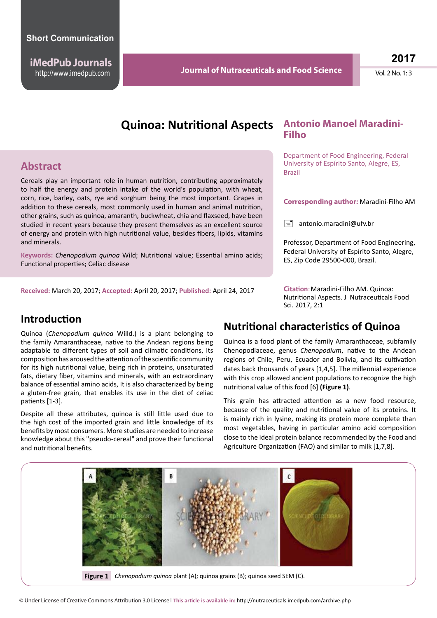**iMedPub Journals**

http://www.imedpub.com **Vol. 2 No. 1: 3 Journal of Nutraceuticals and Food Science** Vol. 2 No. 1: 3 **Journal of Nutraceuticals and Food Science**

**2017**

# **Quinoa: Nutritional Aspects Antonio Manoel Maradini-**

#### **Abstract**

Cereals play an important role in human nutrition, contributing approximately to half the energy and protein intake of the world's population, with wheat, corn, rice, barley, oats, rye and sorghum being the most important. Grapes in addition to these cereals, most commonly used in human and animal nutrition, other grains, such as quinoa, amaranth, buckwheat, chia and flaxseed, have been studied in recent years because they present themselves as an excellent source of energy and protein with high nutritional value, besides fibers, lipids, vitamins and minerals.

**Keywords:** *Chenopodium quinoa* Wild; Nutritional value; Essential amino acids; Functional properties; Celiac disease

**Received:** March 20, 2017; **Accepted:** April 20, 2017; **Published:** April 24, 2017

# **Filho**

Department of Food Engineering, Federal University of Espírito Santo, Alegre, ES, Brazil

#### **Corresponding author:** Maradini-Filho AM

 $\boxed{=}$  antonio.maradini@ufv.br

Professor, Department of Food Engineering, Federal University of Espírito Santo, Alegre, ES, Zip Code 29500-000, Brazil.

**Citation**: Maradini-Filho AM. Quinoa: Nutritional Aspects. J Nutraceuticals Food Sci. 2017, 2:1

#### **Introduction**

Quinoa (*Chenopodium quinoa* Willd.) is a plant belonging to the family Amaranthaceae, native to the Andean regions being adaptable to different types of soil and climatic conditions, Its composition has aroused the attention of the scientific community for its high nutritional value, being rich in proteins, unsaturated fats, dietary fiber, vitamins and minerals, with an extraordinary balance of essential amino acids, It is also characterized by being a gluten-free grain, that enables its use in the diet of celiac patients [1-3].

Despite all these attributes, quinoa is still little used due to the high cost of the imported grain and little knowledge of its benefits by most consumers. More studies are needed to increase knowledge about this "pseudo-cereal" and prove their functional and nutritional benefits.

#### **Nutritional characteristics of Quinoa**

Quinoa is a food plant of the family Amaranthaceae, subfamily Chenopodiaceae, genus *Chenopodium*, native to the Andean regions of Chile, Peru, Ecuador and Bolivia, and its cultivation dates back thousands of years [1,4,5]. The millennial experience with this crop allowed ancient populations to recognize the high nutritional value of this food [6] **(Figure 1)**.

This grain has attracted attention as a new food resource, because of the quality and nutritional value of its proteins. It is mainly rich in lysine, making its protein more complete than most vegetables, having in particular amino acid composition close to the ideal protein balance recommended by the Food and Agriculture Organization (FAO) and similar to milk [1,7,8].

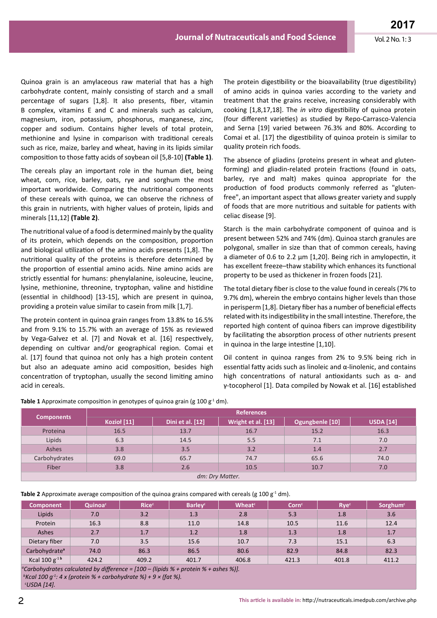Quinoa grain is an amylaceous raw material that has a high carbohydrate content, mainly consisting of starch and a small percentage of sugars [1,8]. It also presents, fiber, vitamin B complex, vitamins E and C and minerals such as calcium, magnesium, iron, potassium, phosphorus, manganese, zinc, copper and sodium. Contains higher levels of total protein, methionine and lysine in comparison with traditional cereals such as rice, maize, barley and wheat, having in its lipids similar composition to those fatty acids of soybean oil [5,8-10] **(Table 1)**.

The cereals play an important role in the human diet, being wheat, corn, rice, barley, oats, rye and sorghum the most important worldwide. Comparing the nutritional components of these cereals with quinoa, we can observe the richness of this grain in nutrients, with higher values of protein, lipids and minerals [11,12] **(Table 2)**.

The nutritional value of a food is determined mainly by the quality of its protein, which depends on the composition, proportion and biological utilization of the amino acids presents [1,8]. The nutritional quality of the proteins is therefore determined by the proportion of essential amino acids. Nine amino acids are strictly essential for humans: phenylalanine, isoleucine, leucine, lysine, methionine, threonine, tryptophan, valine and histidine (essential in childhood) [13-15], which are present in quinoa, providing a protein value similar to casein from milk [1,7].

The protein content in quinoa grain ranges from 13.8% to 16.5% and from 9.1% to 15.7% with an average of 15% as reviewed by Vega-Galvez et al. [7] and Novak et al. [16] respectively, depending on cultivar and/or geographical region. Comai et al. [17] found that quinoa not only has a high protein content but also an adequate amino acid composition, besides high concentration of tryptophan, usually the second limiting amino acid in cereals.

The protein digestibility or the bioavailability (true digestibility) of amino acids in quinoa varies according to the variety and treatment that the grains receive, increasing considerably with cooking [1,8,17,18]. The *in vitro* digestibility of quinoa protein (four different varieties) as studied by Repo-Carrasco-Valencia and Serna [19] varied between 76.3% and 80%. According to Comai et al. [17] the digestibility of quinoa protein is similar to quality protein rich foods.

The absence of gliadins (proteins present in wheat and glutenforming) and gliadin-related protein fractions (found in oats, barley, rye and malt) makes quinoa appropriate for the production of food products commonly referred as "glutenfree", an important aspect that allows greater variety and supply of foods that are more nutritious and suitable for patients with celiac disease [9].

Starch is the main carbohydrate component of quinoa and is present between 52% and 74% (dm). Quinoa starch granules are polygonal, smaller in size than that of common cereals, having a diameter of 0.6 to 2.2 μm [1,20]. Being rich in amylopectin, it has excellent freeze–thaw stability which enhances its functional property to be used as thickener in frozen foods [21].

The total dietary fiber is close to the value found in cereals (7% to 9.7% dm), wherein the embryo contains higher levels than those in perisperm [1,8]. Dietary fiber has a number of beneficial effects related with its indigestibility in the small intestine. Therefore, the reported high content of quinoa fibers can improve digestibility by facilitating the absorption process of other nutrients present in quinoa in the large intestine [1,10].

Oil content in quinoa ranges from 2% to 9.5% being rich in essential fatty acids such as linoleic and  $\alpha$ -linolenic, and contains high concentrations of natural antioxidants such as α- and γ-tocopherol [1]. Data compiled by Nowak et al. [16] established

| <b>Components</b> | <b>References</b> |                  |                    |                 |                  |  |  |  |  |
|-------------------|-------------------|------------------|--------------------|-----------------|------------------|--|--|--|--|
|                   | Kozioł [11]       | Dini et al. [12] | Wright et al. [13] | Ogungbenle [10] | <b>USDA</b> [14] |  |  |  |  |
| Proteina          | 16.5              | 13.7             | 16.7               | 15.2            | 16.3             |  |  |  |  |
| Lipids            | 6.3               | 14.5             | 5.5                | 7.1             | 7.0              |  |  |  |  |
| Ashes             | 3.8               | 3.5              | 3.2                | 1.4             | 2.7              |  |  |  |  |
| Carbohydrates     | 69.0              | 65.7             | 74.7               | 65.6            | 74.0             |  |  |  |  |
| Fiber             | 3.8               | 2.6              | 10.5               | 10.7            | 7.0              |  |  |  |  |
| dm: Dry Matter.   |                   |                  |                    |                 |                  |  |  |  |  |

**Table 1** Approximate composition in genotypes of quinoa grain (g 100 g<sup>-1</sup> dm).

**Table 2** Approximate average composition of the quinoa grains compared with cereals (g 100  $g<sup>-1</sup>$  dm).

| <b>Component</b>                                                                                         | Quinoac | <b>Rice</b> <sup>c</sup> | <b>Barley</b> <sup>c</sup> | <b>Wheat<sup>c</sup></b> | Corn <sup>c</sup> | <b>Rye</b> <sup>c</sup> | Sorghum <sup>c</sup> |  |  |  |
|----------------------------------------------------------------------------------------------------------|---------|--------------------------|----------------------------|--------------------------|-------------------|-------------------------|----------------------|--|--|--|
| Lipids                                                                                                   | 7.0     | 3.2                      | 1.3                        | 2.8                      | 5.3               | 1.8                     | 3.6                  |  |  |  |
| Protein                                                                                                  | 16.3    | 8.8                      | 11.0                       | 14.8                     | 10.5              | 11.6                    | 12.4                 |  |  |  |
| Ashes                                                                                                    | 2.7     | 1.7                      | 1.2                        | 1.8                      | 1.3               | 1.8                     | 1.7                  |  |  |  |
| Dietary fiber                                                                                            | 7.0     | 3.5                      | 15.6                       | 10.7                     | 7.3               | 15.1                    | 6.3                  |  |  |  |
| Carbohydrate <sup>a</sup>                                                                                | 74.0    | 86.3                     | 86.5                       | 80.6                     | 82.9              | 84.8                    | 82.3                 |  |  |  |
| Kcal $100 g^{-1}$                                                                                        | 424.2   | 409.2                    | 401.7                      | 406.8                    | 421.3             | 401.8                   | 411.2                |  |  |  |
| <sup>a</sup> Carhobydrates calculated by difference - [100 - (linids $\%$ + protein $\%$ + ashes $\%$ )] |         |                          |                            |                          |                   |                         |                      |  |  |  |

*Carbohydrates calculated by difference = [100 – (lipids % + protein % + ashes %)]. b Kcal 100 g-1: 4 x (protein % + carbohydrate %) + 9 × (fat %).*

 *c USDA [14].*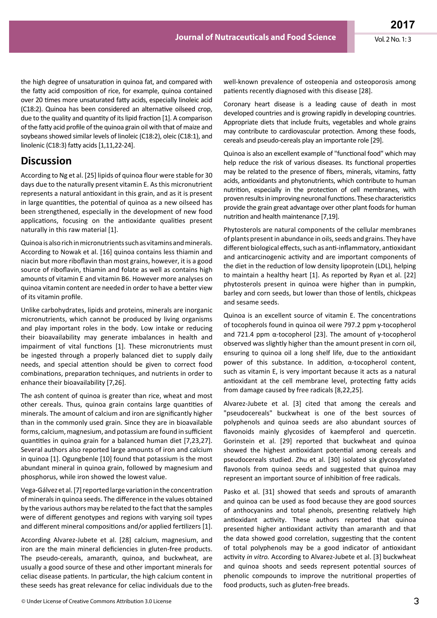the high degree of unsaturation in quinoa fat, and compared with the fatty acid composition of rice, for example, quinoa contained over 20 times more unsaturated fatty acids, especially linoleic acid (C18:2). Quinoa has been considered an alternative oilseed crop, due to the quality and quantity of its lipid fraction [1]. A comparison of the fatty acid profile of the quinoa grain oil with that of maize and soybeans showed similar levels of linoleic (C18:2), oleic (C18:1), and linolenic (C18:3) fatty acids [1,11,22-24].

#### **Discussion**

According to Ng et al. [25] lipids of quinoa flour were stable for 30 days due to the naturally present vitamin E. As this micronutrient represents a natural antioxidant in this grain, and as it is present in large quantities, the potential of quinoa as a new oilseed has been strengthened, especially in the development of new food applications, focusing on the antioxidante qualities present naturally in this raw material [1].

Quinoa is also rich in micronutrients such as vitamins and minerals. According to Nowak et al. [16] quinoa contains less thiamin and niacin but more riboflavin than most grains, however, it is a good source of riboflavin, thiamin and folate as well as contains high amounts of vitamin E and vitamin B6. However more analyses on quinoa vitamin content are needed in order to have a better view of its vitamin profile.

Unlike carbohydrates, lipids and proteins, minerals are inorganic micronutrients, which cannot be produced by living organisms and play important roles in the body. Low intake or reducing their bioavailability may generate imbalances in health and impairment of vital functions [1]. These micronutrients must be ingested through a properly balanced diet to supply daily needs, and special attention should be given to correct food combinations, preparation techniques, and nutrients in order to enhance their bioavailability [7,26].

The ash content of quinoa is greater than rice, wheat and most other cereals. Thus, quinoa grain contains large quantities of minerals. The amount of calcium and iron are significantly higher than in the commonly used grain. Since they are in bioavailable forms, calcium, magnesium, and potassium are found in sufficient quantities in quinoa grain for a balanced human diet [7,23,27]. Several authors also reported large amounts of iron and calcium in quinoa [1]. Ogungbenle [10] found that potassium is the most abundant mineral in quinoa grain, followed by magnesium and phosphorus, while iron showed the lowest value.

Vega-Gálvez et al. [7] reported large variation in the concentration of minerals in quinoa seeds. The difference in the values obtained by the various authors may be related to the fact that the samples were of different genotypes and regions with varying soil types and different mineral compositions and/or applied fertilizers [1].

According Alvarez-Jubete et al. [28] calcium, magnesium, and iron are the main mineral deficiencies in gluten-free products. The pseudo-cereals, amaranth, quinoa, and buckwheat, are usually a good source of these and other important minerals for celiac disease patients. In particular, the high calcium content in these seeds has great relevance for celiac individuals due to the well-known prevalence of osteopenia and osteoporosis among patients recently diagnosed with this disease [28].

Coronary heart disease is a leading cause of death in most developed countries and is growing rapidly in developing countries. Appropriate diets that include fruits, vegetables and whole grains may contribute to cardiovascular protection. Among these foods, cereals and pseudo-cereals play an importante role [29].

Quinoa is also an excellent example of "functional food" which may help reduce the risk of various diseases. Its functional properties may be related to the presence of fibers, minerals, vitamins, fatty acids, antioxidants and phytonutrients, which contribute to human nutrition, especially in the protection of cell membranes, with proven results in improving neuronal functions. These characteristics provide the grain great advantage over other plant foods for human nutrition and health maintenance [7,19].

Phytosterols are natural components of the cellular membranes of plants present in abundance in oils, seeds and grains. They have different biological effects, such as anti-inflammatory, antioxidant and anticarcinogenic activity and are important components of the diet in the reduction of low density lipoprotein (LDL), helping to maintain a healthy heart [1]. As reported by Ryan et al. [22] phytosterols present in quinoa were higher than in pumpkin, barley and corn seeds, but lower than those of lentils, chickpeas and sesame seeds.

Quinoa is an excellent source of vitamin E. The concentrations of tocopherols found in quinoa oil were 797.2 ppm γ-tocopherol and 721.4 ppm α-tocopherol [23]. The amount of γ-tocopherol observed was slightly higher than the amount present in corn oil, ensuring to quinoa oil a long shelf life, due to the antioxidant power of this substance. In addition, α-tocopherol content, such as vitamin E, is very important because it acts as a natural antioxidant at the cell membrane level, protecting fatty acids from damage caused by free radicals [8,22,25].

Alvarez-Jubete et al. [3] cited that among the cereals and "pseudocereals" buckwheat is one of the best sources of polyphenols and quinoa seeds are also abundant sources of flavonoids mainly glycosides of kaempferol and quercetin. Gorinstein et al. [29] reported that buckwheat and quinoa showed the highest antioxidant potential among cereals and pseudocereals studied. Zhu et al. [30] isolated six glycosylated flavonols from quinoa seeds and suggested that quinoa may represent an important source of inhibition of free radicals.

Pasko et al. [31] showed that seeds and sprouts of amaranth and quinoa can be used as food because they are good sources of anthocyanins and total phenols, presenting relatively high antioxidant activity. These authors reported that quinoa presented higher antioxidant activity than amaranth and that the data showed good correlation, suggesting that the content of total polyphenols may be a good indicator of antioxidant activity *in vitro.* According to Alvarez-Jubete et al. [3] buckwheat and quinoa shoots and seeds represent potential sources of phenolic compounds to improve the nutritional properties of food products, such as gluten-free breads.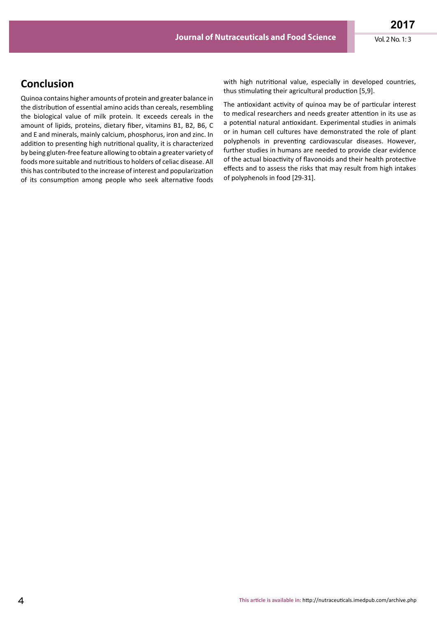## **Conclusion**

Quinoa contains higher amounts of protein and greater balance in the distribution of essential amino acids than cereals, resembling the biological value of milk protein. It exceeds cereals in the amount of lipids, proteins, dietary fiber, vitamins B1, B2, B6, C and E and minerals, mainly calcium, phosphorus, iron and zinc. In addition to presenting high nutritional quality, it is characterized by being gluten-free feature allowing to obtain a greater variety of foods more suitable and nutritious to holders of celiac disease. All this has contributed to the increase of interest and popularization of its consumption among people who seek alternative foods

with high nutritional value, especially in developed countries, thus stimulating their agricultural production [5,9].

The antioxidant activity of quinoa may be of particular interest to medical researchers and needs greater attention in its use as a potential natural antioxidant. Experimental studies in animals or in human cell cultures have demonstrated the role of plant polyphenols in preventing cardiovascular diseases. However, further studies in humans are needed to provide clear evidence of the actual bioactivity of flavonoids and their health protective effects and to assess the risks that may result from high intakes of polyphenols in food [29-31].